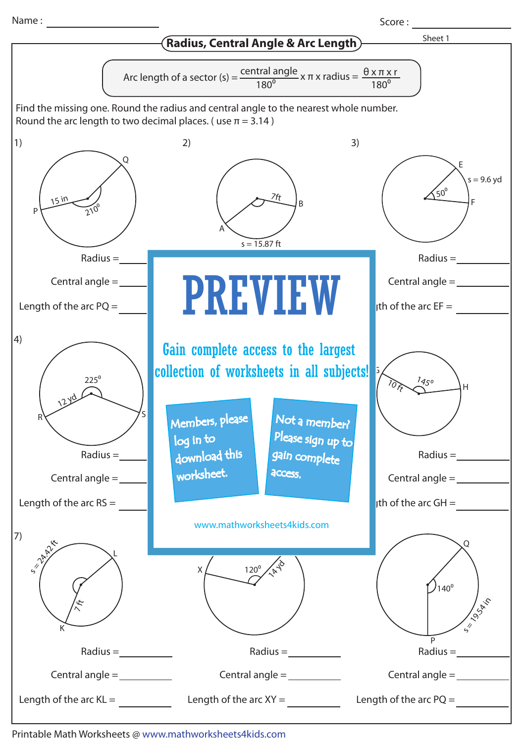Name :

Score : and the second second second second second second second second second second second second second second second second second second second second second second second second second second second second second sec



Printable Math Worksheets @ www.mathworksheets4kids.com